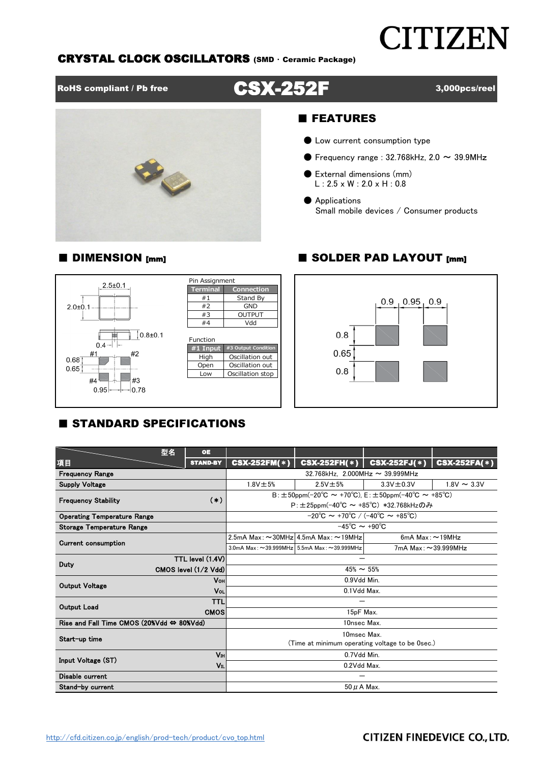# **CITIZEN**

# CRYSTAL CLOCK OSCILLATORS (SMD ・ Ceramic Package)

RoHS compliant / Pb free **CSX-252F** 3,000pcs/reel



## ■ FEATURES

- Low current consumption type
- $\bullet$  Frequency range : 32.768kHz, 2.0  $\sim$  39.9MHz
- External dimensions (mm)  $L: 2.5 \times W: 2.0 \times H: 0.8$
- Applications Small mobile devices / Consumer products



# ■ DIMENSION [mm] ■ SOLDER PAD LAYOUT [mm]



# **E STANDARD SPECIFICATIONS**

|                                                           | 型名                    | <b>OE</b>                                                      |                                                                            |                                                         |                       |                  |  |  |  |  |  |
|-----------------------------------------------------------|-----------------------|----------------------------------------------------------------|----------------------------------------------------------------------------|---------------------------------------------------------|-----------------------|------------------|--|--|--|--|--|
| 項目                                                        |                       | <b>STAND-BY</b>                                                | <b>CSX-252FM(*)</b>                                                        | $CSX-252FH(*)$                                          | $CSX-252FJ(*)$        | $CSX-252FA(*)$   |  |  |  |  |  |
| <b>Frequency Range</b>                                    |                       |                                                                | 32.768kHz. 2.000MHz $\sim$ 39.999MHz                                       |                                                         |                       |                  |  |  |  |  |  |
| <b>Supply Voltage</b>                                     |                       |                                                                | $1.8V \pm 5%$                                                              | $2.5V \pm 5%$                                           | $3.3V \pm 0.3V$       | $1.8V \sim 3.3V$ |  |  |  |  |  |
| <b>Frequency Stability</b>                                |                       | $(*)$                                                          | $B: \pm 50$ ppm(-20°C ~ +70°C), E: $\pm 50$ ppm(-40°C ~ +85°C)             |                                                         |                       |                  |  |  |  |  |  |
|                                                           |                       |                                                                | $P: \pm 25$ ppm(-40°C ~ +85°C) *32.768kHzのみ                                |                                                         |                       |                  |  |  |  |  |  |
| <b>Operating Temperature Range</b>                        |                       |                                                                | $-20^{\circ}$ C ~ +70 $^{\circ}$ C / (-40 $^{\circ}$ C ~ +85 $^{\circ}$ C) |                                                         |                       |                  |  |  |  |  |  |
| Storage Temperature Range                                 |                       |                                                                | $-45^{\circ}$ C $\sim +90^{\circ}$ C                                       |                                                         |                       |                  |  |  |  |  |  |
| <b>Current consumption</b>                                |                       |                                                                |                                                                            | 2.5mA Max: $\sim$ 30MHz 4.5mA Max: $\sim$ 19MHz         | 6mA Max: $\sim$ 19MHz |                  |  |  |  |  |  |
|                                                           |                       |                                                                |                                                                            | 3.0mA Max: $\sim$ 39.999MHz 5.5mA Max: $\sim$ 39.999MHz | 7mA Max: ~39.999MHz   |                  |  |  |  |  |  |
| Duty                                                      |                       | TTL level (1.4V)                                               |                                                                            |                                                         |                       |                  |  |  |  |  |  |
|                                                           |                       | CMOS level (1/2 Vdd)                                           | $45\% \sim 55\%$                                                           |                                                         |                       |                  |  |  |  |  |  |
|                                                           | <b>Vo<sub>H</sub></b> |                                                                | 0.9Vdd Min.                                                                |                                                         |                       |                  |  |  |  |  |  |
| <b>Output Voltage</b>                                     |                       |                                                                | 0.1Vdd Max.                                                                |                                                         |                       |                  |  |  |  |  |  |
| <b>Output Load</b>                                        |                       | <b>TTL</b>                                                     |                                                                            |                                                         |                       |                  |  |  |  |  |  |
|                                                           |                       | <b>CMOS</b>                                                    | 15pF Max.                                                                  |                                                         |                       |                  |  |  |  |  |  |
| Rise and Fall Time CMOS (20%Vdd $\Leftrightarrow$ 80%Vdd) |                       |                                                                | 10nsec Max.                                                                |                                                         |                       |                  |  |  |  |  |  |
| Start-up time                                             |                       | 10msec Max.<br>(Time at minimum operating voltage to be 0sec.) |                                                                            |                                                         |                       |                  |  |  |  |  |  |
|                                                           |                       |                                                                |                                                                            |                                                         |                       |                  |  |  |  |  |  |
| Input Voltage (ST)                                        |                       | Vн                                                             |                                                                            | 0.7Vdd Min.                                             |                       |                  |  |  |  |  |  |
|                                                           |                       | Vıl                                                            | 0.2Vdd Max.                                                                |                                                         |                       |                  |  |  |  |  |  |
| Disable current                                           |                       |                                                                |                                                                            |                                                         |                       |                  |  |  |  |  |  |
| Stand-by current                                          |                       |                                                                | $50 \mu$ A Max.                                                            |                                                         |                       |                  |  |  |  |  |  |